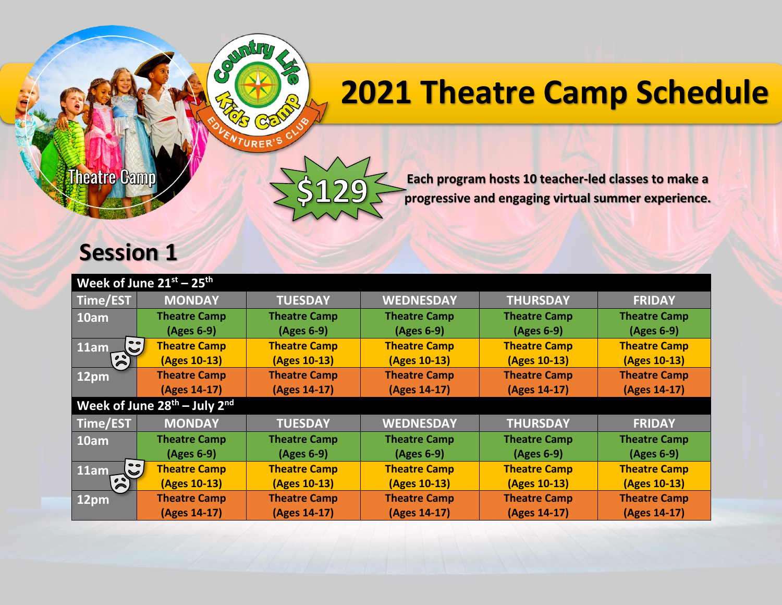## **2021 Theatre Camp Schedule**

**Theatre Camp** 

 $\mathcal{S}$ 

 $R$ 

**Each program hosts 10 teacher-led classes to make a progressive and engaging virtual summer experience.**

## **Session 1**

| Week of June $21^{st}$ – $25^{th}$         |                     |                     |                     |                     |                     |  |  |  |
|--------------------------------------------|---------------------|---------------------|---------------------|---------------------|---------------------|--|--|--|
| Time/EST                                   | <b>MONDAY</b>       | <b>TUESDAY</b>      | <b>WEDNESDAY</b>    | <b>THURSDAY</b>     | <b>FRIDAY</b>       |  |  |  |
| $10$ am                                    | <b>Theatre Camp</b> | <b>Theatre Camp</b> | <b>Theatre Camp</b> | <b>Theatre Camp</b> | <b>Theatre Camp</b> |  |  |  |
|                                            | $(Ages 6-9)$        | (Ages 6-9)          | $(Ages 6-9)$        | (Ages 6-9)          | $(Ages 6-9)$        |  |  |  |
| $\mathbf{S}$<br>11am                       | <b>Theatre Camp</b> | <b>Theatre Camp</b> | <b>Theatre Camp</b> | <b>Theatre Camp</b> | <b>Theatre Camp</b> |  |  |  |
| $\mathbf{z}$                               | (Ages 10-13)        | (Ages 10-13)        | (Ages 10-13)        | (Ages 10-13)        | (Ages 10-13)        |  |  |  |
| 12 <sub>pm</sub>                           | <b>Theatre Camp</b> | <b>Theatre Camp</b> | <b>Theatre Camp</b> | <b>Theatre Camp</b> | <b>Theatre Camp</b> |  |  |  |
|                                            | (Ages 14-17)        | (Ages 14-17)        | (Ages 14-17)        | (Ages 14-17)        | (Ages 14-17)        |  |  |  |
| Week of June 28th - July 2nd               |                     |                     |                     |                     |                     |  |  |  |
| Time/EST                                   | <b>MONDAY</b>       | <b>TUESDAY</b>      | <b>WEDNESDAY</b>    | <b>THURSDAY</b>     | <b>FRIDAY</b>       |  |  |  |
| 10am                                       | <b>Theatre Camp</b> | <b>Theatre Camp</b> | <b>Theatre Camp</b> | <b>Theatre Camp</b> | <b>Theatre Camp</b> |  |  |  |
|                                            | $(Ages 6-9)$        | (Ages 6-9)          | (Ages 6-9)          | (Ages 6-9)          | $(Ages 6-9)$        |  |  |  |
| $\bullet$<br>11am<br>$\blacktriangleright$ | <b>Theatre Camp</b> | <b>Theatre Camp</b> | <b>Theatre Camp</b> | <b>Theatre Camp</b> | <b>Theatre Camp</b> |  |  |  |
| $\sum_{i=1}^{n}$                           | (Ages 10-13)        | (Ages 10-13)        | (Ages 10-13)        | (Ages 10-13)        | (Ages 10-13)        |  |  |  |
| $12$ pm                                    | <b>Theatre Camp</b> | <b>Theatre Camp</b> | <b>Theatre Camp</b> | <b>Theatre Camp</b> | <b>Theatre Camp</b> |  |  |  |
|                                            | (Ages 14-17)        | (Ages 14-17)        | (Ages 14-17)        | (Ages 14-17)        | (Ages 14-17)        |  |  |  |